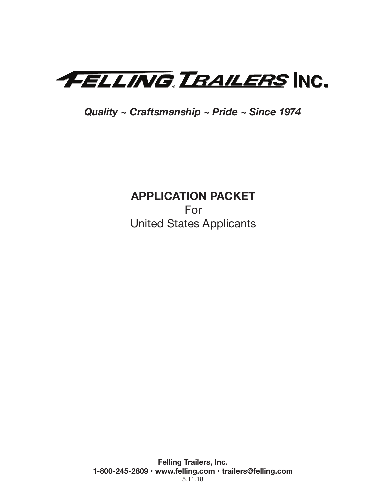

*Quality ~ Craftsmanship ~ Pride ~ Since 1974*

# **APPLICATION PACKET**

For United States Applicants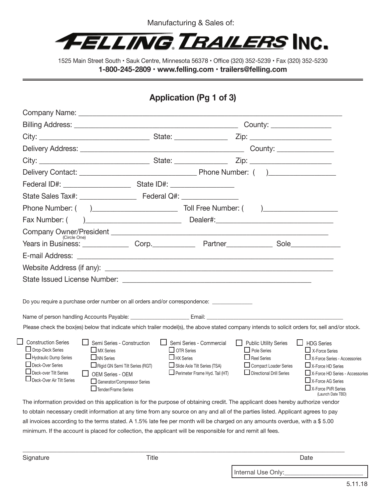

# **Application (Pg 1 of 3)**

|                                                                                                                                                                                                                                            |                                                                                                                                                                                 |         |                                                                                                                                            |                                                                          |                                                          | County: _________________                                                                                                                                                                                                 |
|--------------------------------------------------------------------------------------------------------------------------------------------------------------------------------------------------------------------------------------------|---------------------------------------------------------------------------------------------------------------------------------------------------------------------------------|---------|--------------------------------------------------------------------------------------------------------------------------------------------|--------------------------------------------------------------------------|----------------------------------------------------------|---------------------------------------------------------------------------------------------------------------------------------------------------------------------------------------------------------------------------|
|                                                                                                                                                                                                                                            |                                                                                                                                                                                 |         |                                                                                                                                            |                                                                          |                                                          |                                                                                                                                                                                                                           |
|                                                                                                                                                                                                                                            |                                                                                                                                                                                 |         |                                                                                                                                            |                                                                          |                                                          |                                                                                                                                                                                                                           |
|                                                                                                                                                                                                                                            |                                                                                                                                                                                 |         |                                                                                                                                            |                                                                          |                                                          |                                                                                                                                                                                                                           |
|                                                                                                                                                                                                                                            |                                                                                                                                                                                 |         |                                                                                                                                            |                                                                          |                                                          |                                                                                                                                                                                                                           |
|                                                                                                                                                                                                                                            |                                                                                                                                                                                 |         |                                                                                                                                            |                                                                          |                                                          |                                                                                                                                                                                                                           |
|                                                                                                                                                                                                                                            |                                                                                                                                                                                 |         |                                                                                                                                            |                                                                          |                                                          |                                                                                                                                                                                                                           |
|                                                                                                                                                                                                                                            |                                                                                                                                                                                 |         |                                                                                                                                            |                                                                          |                                                          |                                                                                                                                                                                                                           |
|                                                                                                                                                                                                                                            |                                                                                                                                                                                 |         |                                                                                                                                            |                                                                          |                                                          |                                                                                                                                                                                                                           |
| (Circle One)                                                                                                                                                                                                                               |                                                                                                                                                                                 |         |                                                                                                                                            |                                                                          |                                                          |                                                                                                                                                                                                                           |
| Years in Business: Corp. Corp. Partner Partner Sole                                                                                                                                                                                        |                                                                                                                                                                                 |         |                                                                                                                                            |                                                                          |                                                          |                                                                                                                                                                                                                           |
|                                                                                                                                                                                                                                            |                                                                                                                                                                                 |         |                                                                                                                                            |                                                                          |                                                          |                                                                                                                                                                                                                           |
|                                                                                                                                                                                                                                            |                                                                                                                                                                                 |         |                                                                                                                                            |                                                                          |                                                          |                                                                                                                                                                                                                           |
|                                                                                                                                                                                                                                            |                                                                                                                                                                                 |         |                                                                                                                                            |                                                                          |                                                          |                                                                                                                                                                                                                           |
|                                                                                                                                                                                                                                            |                                                                                                                                                                                 |         |                                                                                                                                            |                                                                          |                                                          |                                                                                                                                                                                                                           |
| Do you require a purchase order number on all orders and/or correspondence: ___________                                                                                                                                                    |                                                                                                                                                                                 |         |                                                                                                                                            |                                                                          |                                                          |                                                                                                                                                                                                                           |
|                                                                                                                                                                                                                                            |                                                                                                                                                                                 |         |                                                                                                                                            |                                                                          |                                                          |                                                                                                                                                                                                                           |
| Please check the box(es) below that indicate which trailer model(s), the above stated company intends to solicit orders for, sell and/or stock.                                                                                            |                                                                                                                                                                                 |         |                                                                                                                                            |                                                                          |                                                          |                                                                                                                                                                                                                           |
| <b>Construction Series</b><br>Drop-Deck Series<br>Hydraulic Dump Series<br>Deck-Over Series<br>$\Box$ Deck-over Tilt Series<br>Deck-Over Air Tilt Series                                                                                   | Semi Series - Construction<br>$\Box$ MX Series<br>$\Box$ NN Series<br>Rigid GN Semi Tilt Series (RGT)<br>OEM Series - OEM<br>Generator/Compressor Series<br>Tender/Frame Series | $\perp$ | Semi Series - Commercial<br>$\Box$ OTR Series<br>$\Box$ HX Series<br>Slide Axle Tilt Series (TSA)<br>$\Box$ Perimeter Frame Hyd. Tail (HT) | $\Box$ Public Utility Series<br>$\Box$ Pole Series<br>$\Box$ Reel Series | Compact Loader Series<br>$\Box$ Directional Drill Series | □ HDG Series<br>$\Box$ X-Force Series<br>$\Box$ X-Force Series - Accessories<br>$\Box$ X-Force HD Series<br>X-Force HD Series - Accessories<br>$\Box$ X-Force AG Series<br>$\Box$ X-Force PVR Series<br>(Launch Date TBD) |
| The information provided on this application is for the purpose of obtaining credit. The applicant does hereby authorize vendor                                                                                                            |                                                                                                                                                                                 |         |                                                                                                                                            |                                                                          |                                                          |                                                                                                                                                                                                                           |
| to obtain necessary credit information at any time from any source on any and all of the parties listed. Applicant agrees to pay                                                                                                           |                                                                                                                                                                                 |         |                                                                                                                                            |                                                                          |                                                          |                                                                                                                                                                                                                           |
| all invoices according to the terms stated. A 1.5% late fee per month will be charged on any amounts overdue, with a \$5.00<br>minimum. If the account is placed for collection, the applicant will be responsible for and remit all fees. |                                                                                                                                                                                 |         |                                                                                                                                            |                                                                          |                                                          |                                                                                                                                                                                                                           |
|                                                                                                                                                                                                                                            |                                                                                                                                                                                 |         |                                                                                                                                            |                                                                          |                                                          |                                                                                                                                                                                                                           |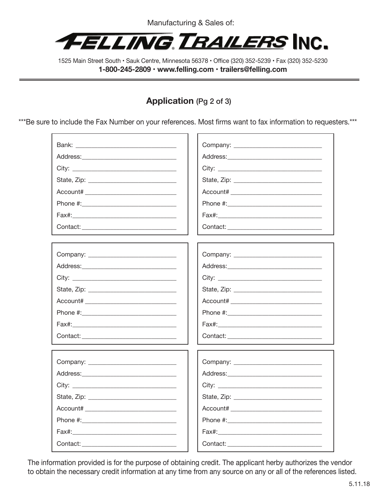

# **Application** (Pg 2 of 3)

\*\*\*Be sure to include the Fax Number on your references. Most firms want to fax information to requesters.\*\*\*

| Bank: 2008 2009 2010 2021 2022 2023 2024 2022 2023 2024 2022 2023 2024 2022 2023 2024 2022 2023 2024 2025 2026 |                                             |  |  |
|----------------------------------------------------------------------------------------------------------------|---------------------------------------------|--|--|
|                                                                                                                |                                             |  |  |
|                                                                                                                |                                             |  |  |
|                                                                                                                |                                             |  |  |
|                                                                                                                | Account# __________________________________ |  |  |
|                                                                                                                |                                             |  |  |
|                                                                                                                |                                             |  |  |
|                                                                                                                |                                             |  |  |
|                                                                                                                |                                             |  |  |
|                                                                                                                |                                             |  |  |
|                                                                                                                |                                             |  |  |
|                                                                                                                |                                             |  |  |
|                                                                                                                |                                             |  |  |
|                                                                                                                |                                             |  |  |
|                                                                                                                |                                             |  |  |
|                                                                                                                |                                             |  |  |
|                                                                                                                |                                             |  |  |
|                                                                                                                |                                             |  |  |
|                                                                                                                |                                             |  |  |
|                                                                                                                |                                             |  |  |
|                                                                                                                |                                             |  |  |
|                                                                                                                |                                             |  |  |
|                                                                                                                |                                             |  |  |
|                                                                                                                |                                             |  |  |
|                                                                                                                |                                             |  |  |
|                                                                                                                |                                             |  |  |
|                                                                                                                |                                             |  |  |

The information provided is for the purpose of obtaining credit. The applicant herby authorizes the vendor to obtain the necessary credit information at any time from any source on any or all of the references listed.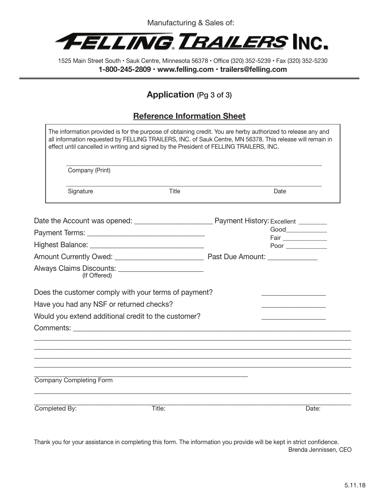

## **Application** (Pg 3 of 3)

### **Reference Information Sheet**

|               | Company (Print)                          |                                                                                                                                                                                                                                |  |                                                                                                                                                                                                                                                                                                                                                                    |       |
|---------------|------------------------------------------|--------------------------------------------------------------------------------------------------------------------------------------------------------------------------------------------------------------------------------|--|--------------------------------------------------------------------------------------------------------------------------------------------------------------------------------------------------------------------------------------------------------------------------------------------------------------------------------------------------------------------|-------|
|               | Signature                                | Title                                                                                                                                                                                                                          |  | Date                                                                                                                                                                                                                                                                                                                                                               |       |
|               |                                          |                                                                                                                                                                                                                                |  |                                                                                                                                                                                                                                                                                                                                                                    |       |
|               |                                          |                                                                                                                                                                                                                                |  | $\begin{picture}(180,10) \put(0,0){\vector(1,0){100}} \put(15,0){\vector(1,0){100}} \put(15,0){\vector(1,0){100}} \put(15,0){\vector(1,0){100}} \put(15,0){\vector(1,0){100}} \put(15,0){\vector(1,0){100}} \put(15,0){\vector(1,0){100}} \put(15,0){\vector(1,0){100}} \put(15,0){\vector(1,0){100}} \put(15,0){\vector(1,0){100}} \put(15,0){\vector(1,0){100}}$ |       |
|               |                                          |                                                                                                                                                                                                                                |  |                                                                                                                                                                                                                                                                                                                                                                    |       |
|               |                                          |                                                                                                                                                                                                                                |  |                                                                                                                                                                                                                                                                                                                                                                    |       |
|               | (If Offered)                             |                                                                                                                                                                                                                                |  |                                                                                                                                                                                                                                                                                                                                                                    |       |
|               |                                          | Does the customer comply with your terms of payment?                                                                                                                                                                           |  |                                                                                                                                                                                                                                                                                                                                                                    |       |
|               | Have you had any NSF or returned checks? |                                                                                                                                                                                                                                |  |                                                                                                                                                                                                                                                                                                                                                                    |       |
|               |                                          | Would you extend additional credit to the customer?                                                                                                                                                                            |  |                                                                                                                                                                                                                                                                                                                                                                    |       |
|               |                                          | Comments: the comments of the community of the community of the community of the community of the community of the community of the community of the community of the community of the community of the community of the commu |  |                                                                                                                                                                                                                                                                                                                                                                    |       |
|               |                                          |                                                                                                                                                                                                                                |  |                                                                                                                                                                                                                                                                                                                                                                    |       |
|               |                                          |                                                                                                                                                                                                                                |  |                                                                                                                                                                                                                                                                                                                                                                    |       |
|               |                                          |                                                                                                                                                                                                                                |  |                                                                                                                                                                                                                                                                                                                                                                    |       |
|               | <b>Company Completing Form</b>           |                                                                                                                                                                                                                                |  |                                                                                                                                                                                                                                                                                                                                                                    |       |
|               |                                          |                                                                                                                                                                                                                                |  |                                                                                                                                                                                                                                                                                                                                                                    |       |
| Completed By: |                                          | Title:                                                                                                                                                                                                                         |  |                                                                                                                                                                                                                                                                                                                                                                    | Date: |

Thank you for your assistance in completing this form. The information you provide will be kept in strict confidence. Brenda Jennissen, CEO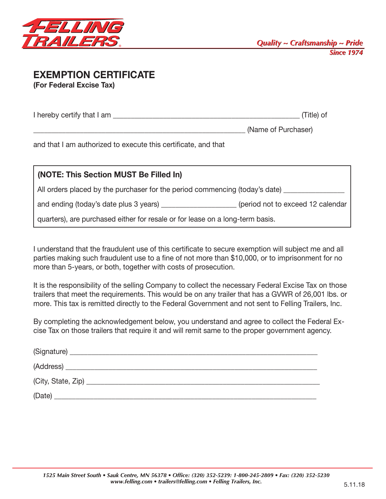

### **EXEMPTION CERTIFICATE (For Federal Excise Tax)**

| I hereby certify that I am |  | Title) of |
|----------------------------|--|-----------|
|----------------------------|--|-----------|

(Name of Purchaser)

and that I am authorized to execute this certificate, and that

| (NOTE: This Section MUST Be Filled In)                                           |                                   |  |  |  |
|----------------------------------------------------------------------------------|-----------------------------------|--|--|--|
| All orders placed by the purchaser for the period commencing (today's date) ____ |                                   |  |  |  |
| and ending (today's date plus 3 years)                                           | (period not to exceed 12 calendar |  |  |  |
| quarters), are purchased either for resale or for lease on a long-term basis.    |                                   |  |  |  |

I understand that the fraudulent use of this certificate to secure exemption will subject me and all parties making such fraudulent use to a fine of not more than \$10,000, or to imprisonment for no more than 5-years, or both, together with costs of prosecution.

It is the responsibility of the selling Company to collect the necessary Federal Excise Tax on those trailers that meet the requirements. This would be on any trailer that has a GVWR of 26,001 lbs. or more. This tax is remitted directly to the Federal Government and not sent to Felling Trailers, Inc.

By completing the acknowledgement below, you understand and agree to collect the Federal Excise Tax on those trailers that require it and will remit same to the proper government agency.

| (Date) |  |  |  |
|--------|--|--|--|